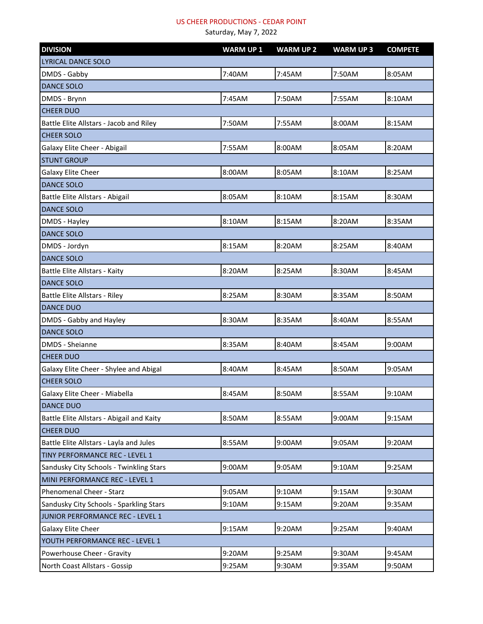| <b>DIVISION</b>                           | <b>WARM UP1</b> | <b>WARM UP 2</b> | <b>WARM UP3</b> | <b>COMPETE</b> |
|-------------------------------------------|-----------------|------------------|-----------------|----------------|
| LYRICAL DANCE SOLO                        |                 |                  |                 |                |
| DMDS - Gabby                              | 7:40AM          | 7:45AM           | 7:50AM          | 8:05AM         |
| <b>DANCE SOLO</b>                         |                 |                  |                 |                |
| DMDS - Brynn                              | 7:45AM          | 7:50AM           | 7:55AM          | 8:10AM         |
| <b>CHEER DUO</b>                          |                 |                  |                 |                |
| Battle Elite Allstars - Jacob and Riley   | 7:50AM          | 7:55AM           | 8:00AM          | 8:15AM         |
| <b>CHEER SOLO</b>                         |                 |                  |                 |                |
| Galaxy Elite Cheer - Abigail              | 7:55AM          | 8:00AM           | 8:05AM          | 8:20AM         |
| <b>STUNT GROUP</b>                        |                 |                  |                 |                |
| Galaxy Elite Cheer                        | 8:00AM          | 8:05AM           | 8:10AM          | 8:25AM         |
| <b>DANCE SOLO</b>                         |                 |                  |                 |                |
| Battle Elite Allstars - Abigail           | 8:05AM          | 8:10AM           | 8:15AM          | 8:30AM         |
| <b>DANCE SOLO</b>                         |                 |                  |                 |                |
| DMDS - Hayley                             | 8:10AM          | 8:15AM           | 8:20AM          | 8:35AM         |
| <b>DANCE SOLO</b>                         |                 |                  |                 |                |
| DMDS - Jordyn                             | 8:15AM          | 8:20AM           | 8:25AM          | 8:40AM         |
| <b>DANCE SOLO</b>                         |                 |                  |                 |                |
| Battle Elite Allstars - Kaity             | 8:20AM          | 8:25AM           | 8:30AM          | 8:45AM         |
| <b>DANCE SOLO</b>                         |                 |                  |                 |                |
| Battle Elite Allstars - Riley             | 8:25AM          | 8:30AM           | 8:35AM          | 8:50AM         |
| <b>DANCE DUO</b>                          |                 |                  |                 |                |
| DMDS - Gabby and Hayley                   | 8:30AM          | 8:35AM           | 8:40AM          | 8:55AM         |
| <b>DANCE SOLO</b>                         |                 |                  |                 |                |
| <b>DMDS</b> - Sheianne                    | 8:35AM          | 8:40AM           | 8:45AM          | 9:00AM         |
| <b>CHEER DUO</b>                          |                 |                  |                 |                |
| Galaxy Elite Cheer - Shylee and Abigal    | 8:40AM          | 8:45AM           | 8:50AM          | 9:05AM         |
| <b>CHEER SOLO</b>                         |                 |                  |                 |                |
| Galaxy Elite Cheer - Miabella             | 8:45AM          | 8:50AM           | 8:55AM          | 9:10AM         |
| <b>DANCE DUO</b>                          |                 |                  |                 |                |
| Battle Elite Allstars - Abigail and Kaity | 8:50AM          | 8:55AM           | 9:00AM          | 9:15AM         |
| <b>CHEER DUO</b>                          |                 |                  |                 |                |
| Battle Elite Allstars - Layla and Jules   | 8:55AM          | 9:00AM           | 9:05AM          | 9:20AM         |
| TINY PERFORMANCE REC - LEVEL 1            |                 |                  |                 |                |
| Sandusky City Schools - Twinkling Stars   | 9:00AM          | 9:05AM           | 9:10AM          | 9:25AM         |
| MINI PERFORMANCE REC - LEVEL 1            |                 |                  |                 |                |
| Phenomenal Cheer - Starz                  | 9:05AM          | 9:10AM           | 9:15AM          | 9:30AM         |
| Sandusky City Schools - Sparkling Stars   | 9:10AM          | 9:15AM           | 9:20AM          | 9:35AM         |
| JUNIOR PERFORMANCE REC - LEVEL 1          |                 |                  |                 |                |
| Galaxy Elite Cheer                        | 9:15AM          | 9:20AM           | 9:25AM          | 9:40AM         |
| YOUTH PERFORMANCE REC - LEVEL 1           |                 |                  |                 |                |
| Powerhouse Cheer - Gravity                | 9:20AM          | 9:25AM           | 9:30AM          | 9:45AM         |
| North Coast Allstars - Gossip             | 9:25AM          | 9:30AM           | 9:35AM          | 9:50AM         |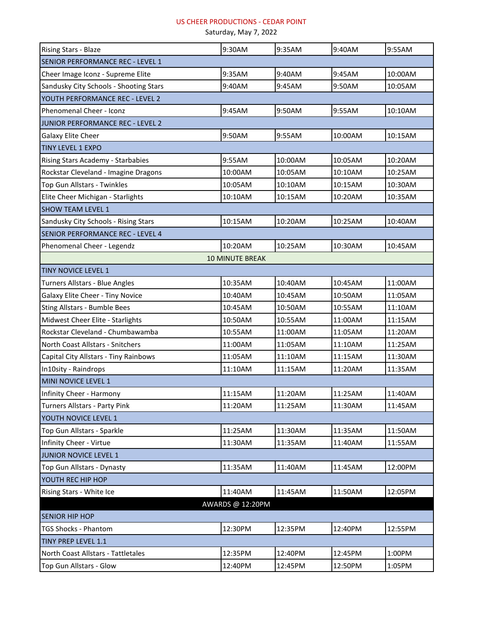| Rising Stars - Blaze                    | 9:30AM                 | 9:35AM  | 9:40AM  | 9:55AM  |
|-----------------------------------------|------------------------|---------|---------|---------|
| <b>SENIOR PERFORMANCE REC - LEVEL 1</b> |                        |         |         |         |
| Cheer Image Iconz - Supreme Elite       | 9:35AM                 | 9:40AM  | 9:45AM  | 10:00AM |
| Sandusky City Schools - Shooting Stars  | 9:40AM                 | 9:45AM  | 9:50AM  | 10:05AM |
| YOUTH PERFORMANCE REC - LEVEL 2         |                        |         |         |         |
| Phenomenal Cheer - Iconz                | 9:45AM                 | 9:50AM  | 9:55AM  | 10:10AM |
| JUNIOR PERFORMANCE REC - LEVEL 2        |                        |         |         |         |
| Galaxy Elite Cheer                      | 9:50AM                 | 9:55AM  | 10:00AM | 10:15AM |
| <b>TINY LEVEL 1 EXPO</b>                |                        |         |         |         |
| Rising Stars Academy - Starbabies       | 9:55AM                 | 10:00AM | 10:05AM | 10:20AM |
| Rockstar Cleveland - Imagine Dragons    | 10:00AM                | 10:05AM | 10:10AM | 10:25AM |
| Top Gun Allstars - Twinkles             | 10:05AM                | 10:10AM | 10:15AM | 10:30AM |
| Elite Cheer Michigan - Starlights       | 10:10AM                | 10:15AM | 10:20AM | 10:35AM |
| <b>SHOW TEAM LEVEL 1</b>                |                        |         |         |         |
| Sandusky City Schools - Rising Stars    | 10:15AM                | 10:20AM | 10:25AM | 10:40AM |
| SENIOR PERFORMANCE REC - LEVEL 4        |                        |         |         |         |
| Phenomenal Cheer - Legendz              | 10:20AM                | 10:25AM | 10:30AM | 10:45AM |
|                                         | <b>10 MINUTE BREAK</b> |         |         |         |
| <b>TINY NOVICE LEVEL 1</b>              |                        |         |         |         |
| Turners Allstars - Blue Angles          | 10:35AM                | 10:40AM | 10:45AM | 11:00AM |
| Galaxy Elite Cheer - Tiny Novice        | 10:40AM                | 10:45AM | 10:50AM | 11:05AM |
| <b>Sting Allstars - Bumble Bees</b>     | 10:45AM                | 10:50AM | 10:55AM | 11:10AM |
| Midwest Cheer Elite - Starlights        | 10:50AM                | 10:55AM | 11:00AM | 11:15AM |
| Rockstar Cleveland - Chumbawamba        | 10:55AM                | 11:00AM | 11:05AM | 11:20AM |
| North Coast Allstars - Snitchers        | 11:00AM                | 11:05AM | 11:10AM | 11:25AM |
| Capital City Allstars - Tiny Rainbows   | 11:05AM                | 11:10AM | 11:15AM | 11:30AM |
| In10sity - Raindrops                    | 11:10AM                | 11:15AM | 11:20AM | 11:35AM |
| MINI NOVICE LEVEL 1                     |                        |         |         |         |
| Infinity Cheer - Harmony                | 11:15AM                | 11:20AM | 11:25AM | 11:40AM |
| Turners Allstars - Party Pink           | 11:20AM                | 11:25AM | 11:30AM | 11:45AM |
| YOUTH NOVICE LEVEL 1                    |                        |         |         |         |
| Top Gun Allstars - Sparkle              | 11:25AM                | 11:30AM | 11:35AM | 11:50AM |
| Infinity Cheer - Virtue                 | 11:30AM                | 11:35AM | 11:40AM | 11:55AM |
| <b>JUNIOR NOVICE LEVEL 1</b>            |                        |         |         |         |
| Top Gun Allstars - Dynasty              | 11:35AM                | 11:40AM | 11:45AM | 12:00PM |
| YOUTH REC HIP HOP                       |                        |         |         |         |
| Rising Stars - White Ice                | 11:40AM                | 11:45AM | 11:50AM | 12:05PM |
| AWARDS @ 12:20PM                        |                        |         |         |         |
| <b>SENIOR HIP HOP</b>                   |                        |         |         |         |
| <b>TGS Shocks - Phantom</b>             | 12:30PM                | 12:35PM | 12:40PM | 12:55PM |
| <b>TINY PREP LEVEL 1.1</b>              |                        |         |         |         |
| North Coast Allstars - Tattletales      | 12:35PM                | 12:40PM | 12:45PM | 1:00PM  |
| Top Gun Allstars - Glow                 | 12:40PM                | 12:45PM | 12:50PM | 1:05PM  |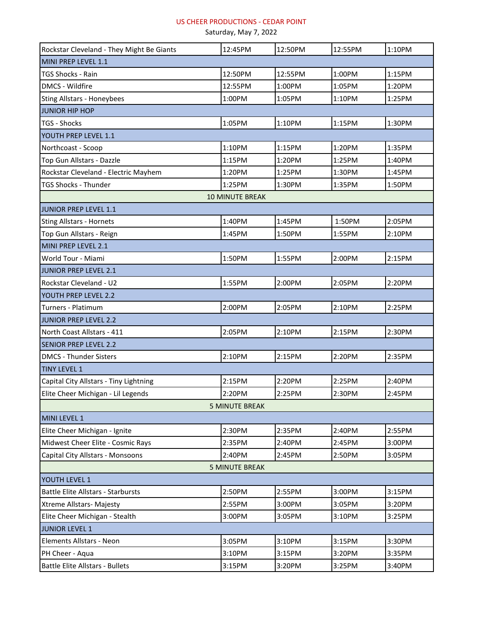| Rockstar Cleveland - They Might Be Giants | 12:45PM                | 12:50PM | 12:55PM | 1:10PM |
|-------------------------------------------|------------------------|---------|---------|--------|
| MINI PREP LEVEL 1.1                       |                        |         |         |        |
| TGS Shocks - Rain                         | 12:50PM                | 12:55PM | 1:00PM  | 1:15PM |
| <b>DMCS - Wildfire</b>                    | 12:55PM                | 1:00PM  | 1:05PM  | 1:20PM |
| <b>Sting Allstars - Honeybees</b>         | 1:00PM                 | 1:05PM  | 1:10PM  | 1:25PM |
| <b>JUNIOR HIP HOP</b>                     |                        |         |         |        |
| <b>TGS - Shocks</b>                       | 1:05PM                 | 1:10PM  | 1:15PM  | 1:30PM |
| YOUTH PREP LEVEL 1.1                      |                        |         |         |        |
| Northcoast - Scoop                        | 1:10PM                 | 1:15PM  | 1:20PM  | 1:35PM |
| Top Gun Allstars - Dazzle                 | 1:15PM                 | 1:20PM  | 1:25PM  | 1:40PM |
| Rockstar Cleveland - Electric Mayhem      | 1:20PM                 | 1:25PM  | 1:30PM  | 1:45PM |
| <b>TGS Shocks - Thunder</b>               | 1:25PM                 | 1:30PM  | 1:35PM  | 1:50PM |
|                                           | <b>10 MINUTE BREAK</b> |         |         |        |
| JUNIOR PREP LEVEL 1.1                     |                        |         |         |        |
| <b>Sting Allstars - Hornets</b>           | 1:40PM                 | 1:45PM  | 1:50PM  | 2:05PM |
| Top Gun Allstars - Reign                  | 1:45PM                 | 1:50PM  | 1:55PM  | 2:10PM |
| MINI PREP LEVEL 2.1                       |                        |         |         |        |
| World Tour - Miami                        | 1:50PM                 | 1:55PM  | 2:00PM  | 2:15PM |
| <b>JUNIOR PREP LEVEL 2.1</b>              |                        |         |         |        |
| Rockstar Cleveland - U2                   | 1:55PM                 | 2:00PM  | 2:05PM  | 2:20PM |
| YOUTH PREP LEVEL 2.2                      |                        |         |         |        |
| Turners - Platimum                        | 2:00PM                 | 2:05PM  | 2:10PM  | 2:25PM |
| JUNIOR PREP LEVEL 2.2                     |                        |         |         |        |
| North Coast Allstars - 411                | 2:05PM                 | 2:10PM  | 2:15PM  | 2:30PM |
| <b>SENIOR PREP LEVEL 2.2</b>              |                        |         |         |        |
| <b>DMCS - Thunder Sisters</b>             | 2:10PM                 | 2:15PM  | 2:20PM  | 2:35PM |
| <b>TINY LEVEL 1</b>                       |                        |         |         |        |
| Capital City Allstars - Tiny Lightning    | 2:15PM                 | 2:20PM  | 2:25PM  | 2:40PM |
| Elite Cheer Michigan - Lil Legends        | 2:20PM                 | 2:25PM  | 2:30PM  | 2:45PM |
| <b>5 MINUTE BREAK</b>                     |                        |         |         |        |
| MINI LEVEL 1                              |                        |         |         |        |
| Elite Cheer Michigan - Ignite             | 2:30PM                 | 2:35PM  | 2:40PM  | 2:55PM |
| Midwest Cheer Elite - Cosmic Rays         | 2:35PM                 | 2:40PM  | 2:45PM  | 3:00PM |
| Capital City Allstars - Monsoons          | 2:40PM                 | 2:45PM  | 2:50PM  | 3:05PM |
| <b>5 MINUTE BREAK</b>                     |                        |         |         |        |
| YOUTH LEVEL 1                             |                        |         |         |        |
| <b>Battle Elite Allstars - Starbursts</b> | 2:50PM                 | 2:55PM  | 3:00PM  | 3:15PM |
| Xtreme Allstars- Majesty                  | 2:55PM                 | 3:00PM  | 3:05PM  | 3:20PM |
| Elite Cheer Michigan - Stealth            | 3:00PM                 | 3:05PM  | 3:10PM  | 3:25PM |
| <b>JUNIOR LEVEL 1</b>                     |                        |         |         |        |
| Elements Allstars - Neon                  | 3:05PM                 | 3:10PM  | 3:15PM  | 3:30PM |
| PH Cheer - Aqua                           | 3:10PM                 | 3:15PM  | 3:20PM  | 3:35PM |
| <b>Battle Elite Allstars - Bullets</b>    | 3:15PM                 | 3:20PM  | 3:25PM  | 3:40PM |